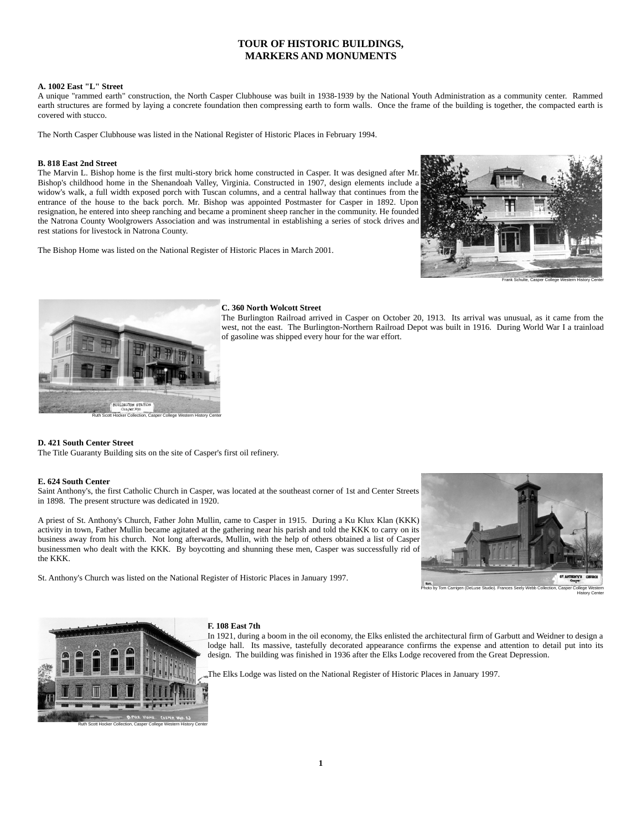# **TOUR OF HISTORIC BUILDINGS, MARKERS AND MONUMENTS**

# **A. 1002 East "L" Street**

A unique "rammed earth" construction, the North Casper Clubhouse was built in 1938-1939 by the National Youth Administration as a community center. Rammed earth structures are formed by laying a concrete foundation then compressing earth to form walls. Once the frame of the building is together, the compacted earth is covered with stucco.

The North Casper Clubhouse was listed in the National Register of Historic Places in February 1994.

# **B. 818 East 2nd Street**

The Marvin L. Bishop home is the first multi-story brick home constructed in Casper. It was designed after Mr. Bishop's childhood home in the Shenandoah Valley, Virginia. Constructed in 1907, design elements include a widow's walk, a full width exposed porch with Tuscan columns, and a central hallway that continues from the entrance of the house to the back porch. Mr. Bishop was appointed Postmaster for Casper in 1892. Upon resignation, he entered into sheep ranching and became a prominent sheep rancher in the community. He founded the Natrona County Woolgrowers Association and was instrumental in establishing a series of stock drives and rest stations for livestock in Natrona County.

The Bishop Home was listed on the National Register of Historic Places in March 2001.





# **C. 360 North Wolcott Street**

The Burlington Railroad arrived in Casper on October 20, 1913. Its arrival was unusual, as it came from the west, not the east. The Burlington-Northern Railroad Depot was built in 1916. During World War I a trainload of gasoline was shipped every hour for the war effort.

# **D. 421 South Center Street**

The Title Guaranty Building sits on the site of Casper's first oil refinery.

# **E. 624 South Center**

Saint Anthony's, the first Catholic Church in Casper, was located at the southeast corner of 1st and Center Streets in 1898. The present structure was dedicated in 1920.

A priest of St. Anthony's Church, Father John Mullin, came to Casper in 1915. During a Ku Klux Klan (KKK) activity in town, Father Mullin became agitated at the gathering near his parish and told the KKK to carry on its business away from his church. Not long afterwards, Mullin, with the help of others obtained a list of Casper businessmen who dealt with the KKK. By boycotting and shunning these men, Casper was successfully rid of the KKK.

St. Anthony's Church was listed on the National Register of Historic Places in January 1997.



History Center



Ruth Scott Hocker Collection, Casper College Western History Center

**F. 108 East 7th**

In 1921, during a boom in the oil economy, the Elks enlisted the architectural firm of Garbutt and Weidner to design a lodge hall. Its massive, tastefully decorated appearance confirms the expense and attention to detail put into its design. The building was finished in 1936 after the Elks Lodge recovered from the Great Depression.

The Elks Lodge was listed on the National Register of Historic Places in January 1997.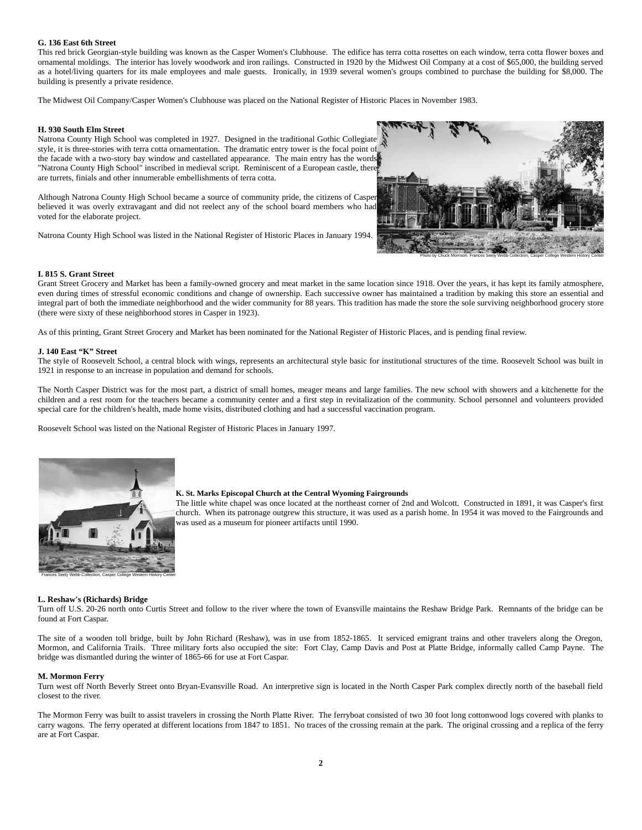### **G. 136 East 6th Street**

This red brick Georgian-style building was known as the Casper Women's Clubhouse. The edifice has terra cotta rosettes on each window, terra cotta flower boxes and ornamental moldings. The interior has lovely woodwork and iron railings. Constructed in 1920 by the Midwest Oil Company at a cost of \$65,000, the building served as a hotel/living quarters for its male employees and male guests. Ironically, in 1939 several women's groups combined to purchase the building for \$8,000. The building is presently a private residence.

The Midwest Oil Company/Casper Women's Clubhouse was placed on the National Register of Historic Places in November 1983.

### **H. 930 South Elm Street**

Natrona County High School was completed in 1927. Designed in the traditional Gothic Collegiate style, it is three-stories with terra cotta ornamentation. The dramatic entry tower is the focal point of the facade with a two-story bay window and castellated appearance. The main entry has the words "Natrona County High School" inscribed in medieval script. Reminiscent of a European castle, there are turrets, finials and other innumerable embellishments of terra cotta.

Although Natrona County High School became a source of community pride, the citizens of Casper believed it was overly extravagant and did not reelect any of the school board members who had voted for the elaborate project.

Natrona County High School was listed in the National Register of Historic Places in January 1994.



### **I. 815 S. Grant Street**

Grant Street Grocery and Market has been a family-owned grocery and meat market in the same location since 1918. Over the years, it has kept its family atmosphere, even during times of stressful economic conditions and change of ownership. Each successive owner has maintained a tradition by making this store an essential and integral part of both the immediate neighborhood and the wider community for 88 years. This tradition has made the store the sole surviving neighborhood grocery store (there were sixty of these neighborhood stores in Casper in 1923).

As of this printing, Grant Street Grocery and Market has been nominated for the National Register of Historic Places, and is pending final review.

# **J. 140 East "K" Street**

The style of Roosevelt School, a central block with wings, represents an architectural style basic for institutional structures of the time. Roosevelt School was built in 1921 in response to an increase in population and demand for schools.

The North Casper District was for the most part, a district of small homes, meager means and large families. The new school with showers and a kitchenette for the children and a rest room for the teachers became a community center and a first step in revitalization of the community. School personnel and volunteers provided special care for the children's health, made home visits, distributed clothing and had a successful vaccination program.

Roosevelt School was listed on the National Register of Historic Places in January 1997.



#### **K. St. Marks Episcopal Church at the Central Wyoming Fairgrounds**

The little white chapel was once located at the northeast corner of 2nd and Wolcott. Constructed in 1891, it was Casper's first church. When its patronage outgrew this structure, it was used as a parish home. In 1954 it was moved to the Fairgrounds and was used as a museum for pioneer artifacts until 1990.

### **L. Reshaw's (Richards) Bridge**

Turn off U.S. 20-26 north onto Curtis Street and follow to the river where the town of Evansville maintains the Reshaw Bridge Park. Remnants of the bridge can be found at Fort Caspar.

The site of a wooden toll bridge, built by John Richard (Reshaw), was in use from 1852-1865. It serviced emigrant trains and other travelers along the Oregon, Mormon, and California Trails. Three military forts also occupied the site: Fort Clay, Camp Davis and Post at Platte Bridge, informally called Camp Payne. The bridge was dismantled during the winter of 1865-66 for use at Fort Caspar.

#### **M. Mormon Ferry**

Turn west off North Beverly Street onto Bryan-Evansville Road. An interpretive sign is located in the North Casper Park complex directly north of the baseball field closest to the river.

The Mormon Ferry was built to assist travelers in crossing the North Platte River. The ferryboat consisted of two 30 foot long cottonwood logs covered with planks to carry wagons. The ferry operated at different locations from 1847 to 1851. No traces of the crossing remain at the park. The original crossing and a replica of the ferry are at Fort Caspar.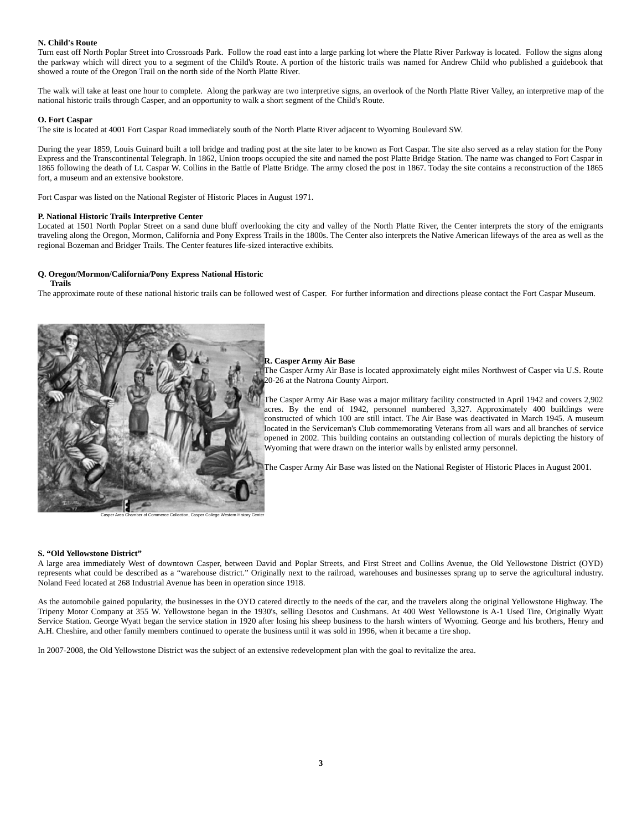# **N. Child's Route**

Turn east off North Poplar Street into Crossroads Park. Follow the road east into a large parking lot where the Platte River Parkway is located. Follow the signs along the parkway which will direct you to a segment of the Child's Route. A portion of the historic trails was named for Andrew Child who published a guidebook that showed a route of the Oregon Trail on the north side of the North Platte River.

The walk will take at least one hour to complete. Along the parkway are two interpretive signs, an overlook of the North Platte River Valley, an interpretive map of the national historic trails through Casper, and an opportunity to walk a short segment of the Child's Route.

### **O. Fort Caspar**

The site is located at 4001 Fort Caspar Road immediately south of the North Platte River adjacent to Wyoming Boulevard SW.

During the year 1859, Louis Guinard built a toll bridge and trading post at the site later to be known as Fort Caspar. The site also served as a relay station for the Pony Express and the Transcontinental Telegraph. In 1862, Union troops occupied the site and named the post Platte Bridge Station. The name was changed to Fort Caspar in 1865 following the death of Lt. Caspar W. Collins in the Battle of Platte Bridge. The army closed the post in 1867. Today the site contains a reconstruction of the 1865 fort, a museum and an extensive bookstore.

Fort Caspar was listed on the National Register of Historic Places in August 1971.

### **P. National Historic Trails Interpretive Center**

Located at 1501 North Poplar Street on a sand dune bluff overlooking the city and valley of the North Platte River, the Center interprets the story of the emigrants traveling along the Oregon, Mormon, California and Pony Express Trails in the 1800s. The Center also interprets the Native American lifeways of the area as well as the regional Bozeman and Bridger Trails. The Center features life-sized interactive exhibits.

# **Q. Oregon/Mormon/California/Pony Express National Historic**

### **Trails**

The approximate route of these national historic trails can be followed west of Casper. For further information and directions please contact the Fort Caspar Museum.



### **R. Casper Army Air Base**

The Casper Army Air Base is located approximately eight miles Northwest of Casper via U.S. Route 20-26 at the Natrona County Airport.

The Casper Army Air Base was a major military facility constructed in April 1942 and covers 2,902 acres. By the end of 1942, personnel numbered 3,327. Approximately 400 buildings were constructed of which 100 are still intact. The Air Base was deactivated in March 1945. A museum located in the Serviceman's Club commemorating Veterans from all wars and all branches of service opened in 2002. This building contains an outstanding collection of murals depicting the history of Wyoming that were drawn on the interior walls by enlisted army personnel.

The Casper Army Air Base was listed on the National Register of Historic Places in August 2001.

### **S. "Old Yellowstone District"**

A large area immediately West of downtown Casper, between David and Poplar Streets, and First Street and Collins Avenue, the Old Yellowstone District (OYD) represents what could be described as a "warehouse district." Originally next to the railroad, warehouses and businesses sprang up to serve the agricultural industry. Noland Feed located at 268 Industrial Avenue has been in operation since 1918.

As the automobile gained popularity, the businesses in the OYD catered directly to the needs of the car, and the travelers along the original Yellowstone Highway. The Tripeny Motor Company at 355 W. Yellowstone began in the 1930's, selling Desotos and Cushmans. At 400 West Yellowstone is A-1 Used Tire, Originally Wyatt Service Station. George Wyatt began the service station in 1920 after losing his sheep business to the harsh winters of Wyoming. George and his brothers, Henry and A.H. Cheshire, and other family members continued to operate the business until it was sold in 1996, when it became a tire shop.

In 2007-2008, the Old Yellowstone District was the subject of an extensive redevelopment plan with the goal to revitalize the area.